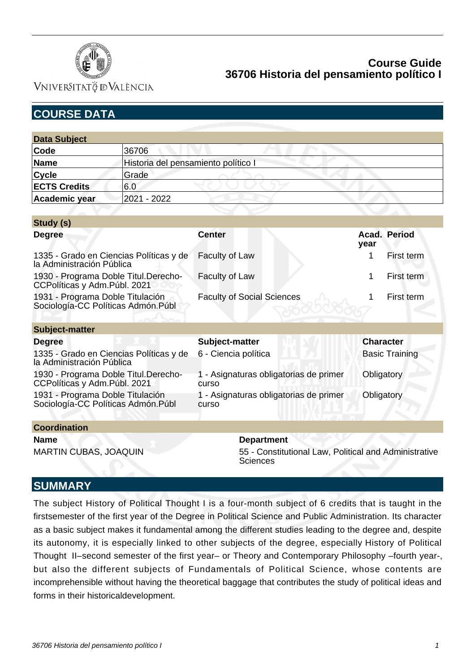

VNIVERSITATÖ ID VALÈNCIA

| <b>COURSE DATA</b>                                                      |                                     |                                                 |                       |              |  |
|-------------------------------------------------------------------------|-------------------------------------|-------------------------------------------------|-----------------------|--------------|--|
|                                                                         |                                     |                                                 |                       |              |  |
| <b>Data Subject</b>                                                     |                                     |                                                 |                       |              |  |
| Code                                                                    | 36706                               |                                                 |                       |              |  |
| <b>Name</b>                                                             | Historia del pensamiento político I |                                                 |                       |              |  |
| <b>Cycle</b>                                                            | Grade                               |                                                 |                       |              |  |
| <b>ECTS Credits</b>                                                     | 6.0                                 |                                                 |                       |              |  |
| <b>Academic year</b>                                                    | 2021 - 2022                         |                                                 |                       |              |  |
|                                                                         |                                     |                                                 |                       |              |  |
| Study (s)                                                               |                                     |                                                 |                       |              |  |
| <b>Degree</b>                                                           |                                     | <b>Center</b>                                   | year                  | Acad. Period |  |
| 1335 - Grado en Ciencias Políticas y de<br>la Administración Pública    |                                     | Faculty of Law                                  | 1                     | First term   |  |
| 1930 - Programa Doble Titul.Derecho-<br>CCPolíticas y Adm.Públ. 2021    |                                     | <b>Faculty of Law</b>                           | 1                     | First term   |  |
| 1931 - Programa Doble Titulación<br>Sociología-CC Políticas Admón. Públ |                                     | <b>Faculty of Social Sciences</b>               | 1                     | First term   |  |
|                                                                         |                                     |                                                 |                       |              |  |
| <b>Subject-matter</b>                                                   |                                     |                                                 |                       |              |  |
| <b>Degree</b>                                                           |                                     | Subject-matter                                  | <b>Character</b>      |              |  |
| 1335 - Grado en Ciencias Políticas y de<br>la Administración Pública    |                                     | 6 - Ciencia política                            | <b>Basic Training</b> |              |  |
| 1930 - Programa Doble Titul.Derecho-<br>CCPolíticas y Adm.Públ. 2021    |                                     | 1 - Asignaturas obligatorias de primer<br>curso | Obligatory            |              |  |
| 1931 - Programa Doble Titulación<br>Sociología-CC Políticas Admón. Públ |                                     | 1 - Asignaturas obligatorias de primer<br>curso | Obligatory            |              |  |
| <b>Coordination</b>                                                     |                                     |                                                 |                       |              |  |
| <b>Name</b>                                                             |                                     | <b>Department</b>                               |                       |              |  |

MARTIN CUBAS, JOAQUIN 55 - Constitutional Law, Political and Administrative **Sciences** 

# **SUMMARY**

The subject History of Political Thought I is a four-month subject of 6 credits that is taught in the firstsemester of the first year of the Degree in Political Science and Public Administration. Its character as a basic subject makes it fundamental among the different studies leading to the degree and, despite its autonomy, it is especially linked to other subjects of the degree, especially History of Political Thought II–second semester of the first year– or Theory and Contemporary Philosophy –fourth year-, but also the different subjects of Fundamentals of Political Science, whose contents are incomprehensible without having the theoretical baggage that contributes the study of political ideas and forms in their historicaldevelopment.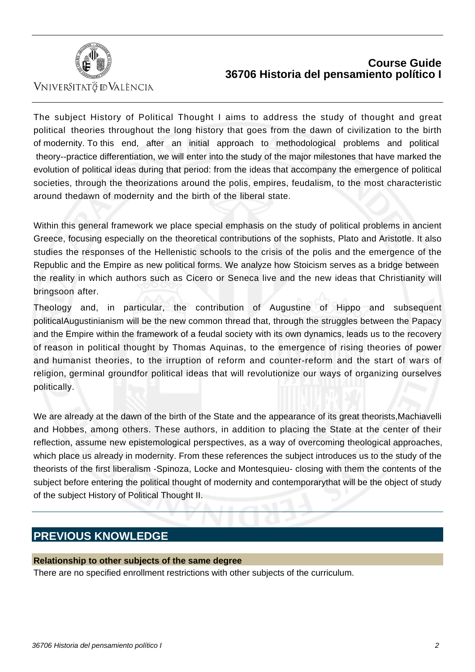

VNIVERSITATÖ ID VALÈNCIA

The subject History of Political Thought I aims to address the study of thought and great political theories throughout the long history that goes from the dawn of civilization to the birth of modernity. To this end, after an initial approach to methodological problems and political theory--practice differentiation, we will enter into the study of the major milestones that have marked the evolution of political ideas during that period: from the ideas that accompany the emergence of political societies, through the theorizations around the polis, empires, feudalism, to the most characteristic around thedawn of modernity and the birth of the liberal state.

Within this general framework we place special emphasis on the study of political problems in ancient Greece, focusing especially on the theoretical contributions of the sophists, Plato and Aristotle. It also studies the responses of the Hellenistic schools to the crisis of the polis and the emergence of the Republic and the Empire as new political forms. We analyze how Stoicism serves as a bridge between the reality in which authors such as Cicero or Seneca live and the new ideas that Christianity will bringsoon after.

Theology and, in particular, the contribution of Augustine of Hippo and subsequent politicalAugustinianism will be the new common thread that, through the struggles between the Papacy and the Empire within the framework of a feudal society with its own dynamics, leads us to the recovery of reason in political thought by Thomas Aquinas, to the emergence of rising theories of power and humanist theories, to the irruption of reform and counter-reform and the start of wars of religion, germinal groundfor political ideas that will revolutionize our ways of organizing ourselves politically.

We are already at the dawn of the birth of the State and the appearance of its great theorists,Machiavelli and Hobbes, among others. These authors, in addition to placing the State at the center of their reflection, assume new epistemological perspectives, as a way of overcoming theological approaches, which place us already in modernity. From these references the subject introduces us to the study of the theorists of the first liberalism -Spinoza, Locke and Montesquieu- closing with them the contents of the subject before entering the political thought of modernity and contemporarythat will be the object of study of the subject History of Political Thought II.

# **PREVIOUS KNOWLEDGE**

#### **Relationship to other subjects of the same degree**

There are no specified enrollment restrictions with other subjects of the curriculum.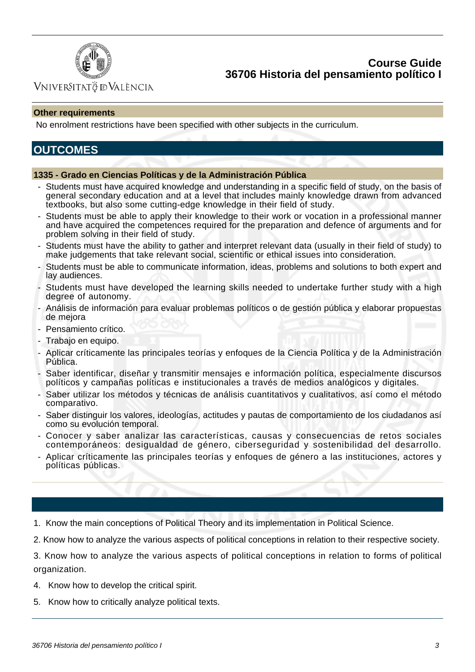

## VNIVERSITATÖ IDVALÈNCIA

#### **Other requirements**

No enrolment restrictions have been specified with other subjects in the curriculum.

# **OUTCOMES**

#### **1335 - Grado en Ciencias Políticas y de la Administración Pública**

- Students must have acquired knowledge and understanding in a specific field of study, on the basis of general secondary education and at a level that includes mainly knowledge drawn from advanced textbooks, but also some cutting-edge knowledge in their field of study.
- Students must be able to apply their knowledge to their work or vocation in a professional manner and have acquired the competences required for the preparation and defence of arguments and for problem solving in their field of study.
- Students must have the ability to gather and interpret relevant data (usually in their field of study) to make judgements that take relevant social, scientific or ethical issues into consideration.
- Students must be able to communicate information, ideas, problems and solutions to both expert and lay audiences.
- Students must have developed the learning skills needed to undertake further study with a high degree of autonomy.
- Análisis de información para evaluar problemas políticos o de gestión pública y elaborar propuestas de mejora
- Pensamiento crítico.
- Trabajo en equipo.
- Aplicar críticamente las principales teorías y enfoques de la Ciencia Política y de la Administración Pública.
- Saber identificar, diseñar y transmitir mensajes e información política, especialmente discursos políticos y campañas políticas e institucionales a través de medios analógicos y digitales.
- Saber utilizar los métodos y técnicas de análisis cuantitativos y cualitativos, así como el método comparativo.
- Saber distinguir los valores, ideologías, actitudes y pautas de comportamiento de los ciudadanos así como su evolución temporal.
- Conocer y saber analizar las características, causas y consecuencias de retos sociales contemporáneos: desigualdad de género, ciberseguridad y sostenibilidad del desarrollo.
- Aplicar críticamente las principales teorías y enfoques de género a las instituciones, actores y políticas públicas.

1. Know the main conceptions of Political Theory and its implementation in Political Science.

2. Know how to analyze the various aspects of political conceptions in relation to their respective society.

3. Know how to analyze the various aspects of political conceptions in relation to forms of political organization.

- 4. Know how to develop the critical spirit.
- 5. Know how to critically analyze political texts.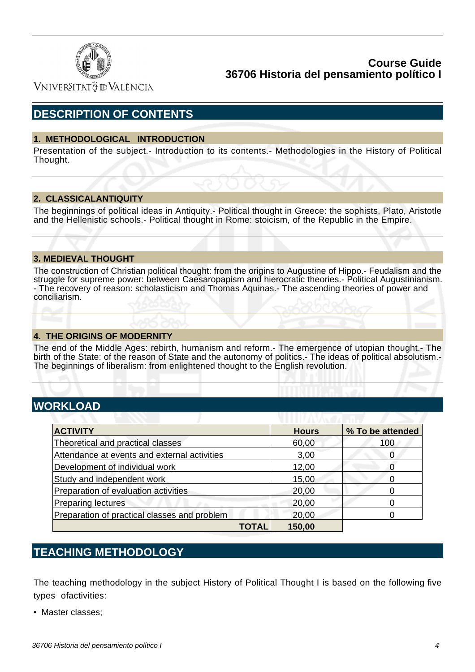

Vniver§itatğ dValència

# **DESCRIPTION OF CONTENTS**

#### **1. METHODOLOGICAL INTRODUCTION**

Presentation of the subject.- Introduction to its contents.- Methodologies in the History of Political Thought.

#### **2. CLASSICALANTIQUITY**

The beginnings of political ideas in Antiquity.- Political thought in Greece: the sophists, Plato, Aristotle and the Hellenistic schools.- Political thought in Rome: stoicism, of the Republic in the Empire.

#### **3. MEDIEVAL THOUGHT**

The construction of Christian political thought: from the origins to Augustine of Hippo.- Feudalism and the struggle for supreme power: between Caesaropapism and hierocratic theories.- Political Augustinianism. - The recovery of reason: scholasticism and Thomas Aquinas.- The ascending theories of power and conciliarism.

#### **4. THE ORIGINS OF MODERNITY**

The end of the Middle Ages: rebirth, humanism and reform.- The emergence of utopian thought.- The birth of the State: of the reason of State and the autonomy of politics.- The ideas of political absolutism.-The beginnings of liberalism: from enlightened thought to the English revolution.

# **WORKLOAD**

| <b>ACTIVITY</b>                              | <b>Hours</b> | % To be attended |
|----------------------------------------------|--------------|------------------|
| Theoretical and practical classes            | 60,00        | 100              |
| Attendance at events and external activities | 3,00         | O                |
| Development of individual work               | 12,00        |                  |
| Study and independent work                   | 15,00        | O                |
| Preparation of evaluation activities         | 20,00        |                  |
| <b>Preparing lectures</b>                    | 20,00        |                  |
| Preparation of practical classes and problem | 20,00        |                  |
| TOTAL                                        | 150,00       |                  |

# **TEACHING METHODOLOGY**

The teaching methodology in the subject History of Political Thought I is based on the following five types ofactivities:

• Master classes;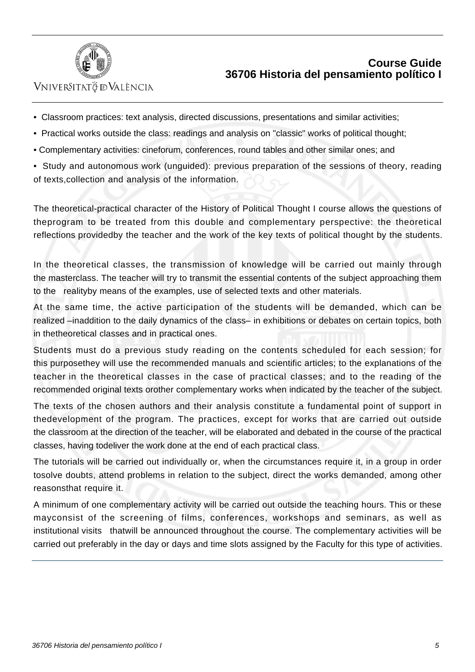

## VNIVERSITATÖ ID VALÈNCIA

- Classroom practices: text analysis, directed discussions, presentations and similar activities;
- Practical works outside the class: readings and analysis on "classic" works of political thought;
- Complementary activities: cineforum, conferences, round tables and other similar ones; and
- Study and autonomous work (unguided): previous preparation of the sessions of theory, reading of texts,collection and analysis of the information.

The theoretical-practical character of the History of Political Thought I course allows the questions of theprogram to be treated from this double and complementary perspective: the theoretical reflections providedby the teacher and the work of the key texts of political thought by the students.

In the theoretical classes, the transmission of knowledge will be carried out mainly through the masterclass. The teacher will try to transmit the essential contents of the subject approaching them to the realityby means of the examples, use of selected texts and other materials.

At the same time, the active participation of the students will be demanded, which can be realized –inaddition to the daily dynamics of the class– in exhibitions or debates on certain topics, both in thetheoretical classes and in practical ones.

Students must do a previous study reading on the contents scheduled for each session; for this purposethey will use the recommended manuals and scientific articles; to the explanations of the teacher in the theoretical classes in the case of practical classes; and to the reading of the recommended original texts orother complementary works when indicated by the teacher of the subject.

The texts of the chosen authors and their analysis constitute a fundamental point of support in thedevelopment of the program. The practices, except for works that are carried out outside the classroom at the direction of the teacher, will be elaborated and debated in the course of the practical classes, having todeliver the work done at the end of each practical class.

The tutorials will be carried out individually or, when the circumstances require it, in a group in order tosolve doubts, attend problems in relation to the subject, direct the works demanded, among other reasonsthat require it.

A minimum of one complementary activity will be carried out outside the teaching hours. This or these mayconsist of the screening of films, conferences, workshops and seminars, as well as institutional visits thatwill be announced throughout the course. The complementary activities will be carried out preferably in the day or days and time slots assigned by the Faculty for this type of activities.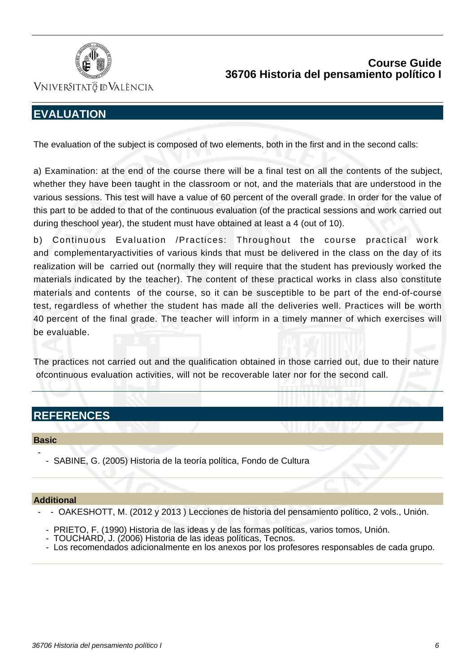

VNIVERSITATÖ IDVALÈNCIA

# **EVALUATION**

The evaluation of the subject is composed of two elements, both in the first and in the second calls:

a) Examination: at the end of the course there will be a final test on all the contents of the subject, whether they have been taught in the classroom or not, and the materials that are understood in the various sessions. This test will have a value of 60 percent of the overall grade. In order for the value of this part to be added to that of the continuous evaluation (of the practical sessions and work carried out during theschool year), the student must have obtained at least a 4 (out of 10).

b) Continuous Evaluation /Practices: Throughout the course practical work and complementaryactivities of various kinds that must be delivered in the class on the day of its realization will be carried out (normally they will require that the student has previously worked the materials indicated by the teacher). The content of these practical works in class also constitute materials and contents of the course, so it can be susceptible to be part of the end-of-course test, regardless of whether the student has made all the deliveries well. Practices will be worth 40 percent of the final grade. The teacher will inform in a timely manner of which exercises will be evaluable.

The practices not carried out and the qualification obtained in those carried out, due to their nature ofcontinuous evaluation activities, will not be recoverable later nor for the second call.

# **REFERENCES**

#### **Basic**

-

- SABINE, G. (2005) Historia de la teoría política, Fondo de Cultura

#### **Additional**

- - OAKESHOTT, M. (2012 y 2013 ) Lecciones de historia del pensamiento político, 2 vols., Unión.

- PRIETO, F. (1990) Historia de las ideas y de las formas políticas, varios tomos, Unión.
- TOUCHARD, J. (2006) Historia de las ideas políticas, Tecnos.
- Los recomendados adicionalmente en los anexos por los profesores responsables de cada grupo.